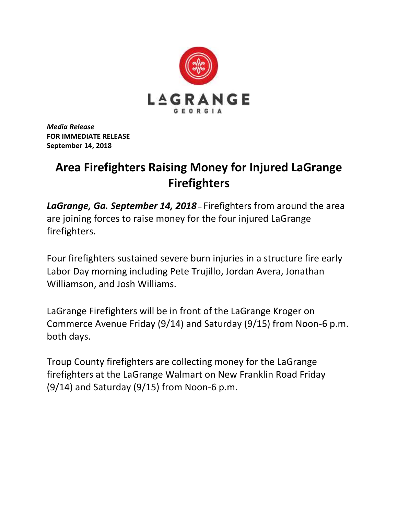

*Media Release* **FOR IMMEDIATE RELEASE September 14, 2018**

## **Area Firefighters Raising Money for Injured LaGrange Firefighters**

*LaGrange, Ga. September 14, 2018* – Firefighters from around the area are joining forces to raise money for the four injured LaGrange firefighters.

Four firefighters sustained severe burn injuries in a structure fire early Labor Day morning including Pete Trujillo, Jordan Avera, Jonathan Williamson, and Josh Williams.

LaGrange Firefighters will be in front of the LaGrange Kroger on Commerce Avenue Friday (9/14) and Saturday (9/15) from Noon-6 p.m. both days.

Troup County firefighters are collecting money for the LaGrange firefighters at the LaGrange Walmart on New Franklin Road Friday (9/14) and Saturday (9/15) from Noon-6 p.m.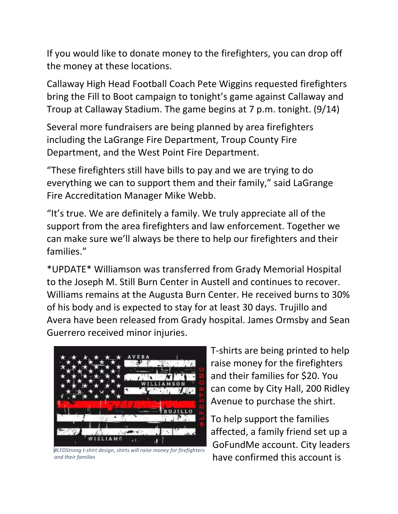If you would like to donate money to the firefighters, you can drop off the money at these locations.

Callaway High Head Football Coach Pete Wiggins requested firefighters bring the Fill to Boot campaign to tonight's game against Callaway and Troup at Callaway Stadium. The game begins at 7 p.m. tonight. (9/14)

Several more fundraisers are being planned by area firefighters including the LaGrange Fire Department, Troup County Fire Department, and the West Point Fire Department.

"These firefighters still have bills to pay and we are trying to do everything we can to support them and their family," said LaGrange Fire Accreditation Manager Mike Webb.

"It's true. We are definitely a family. We truly appreciate all of the support from the area firefighters and law enforcement. Together we can make sure we'll always be there to help our firefighters and their families."

\*UPDATE\* Williamson was transferred from Grady Memorial Hospital to the Joseph M. Still Burn Center in Austell and continues to recover. Williams remains at the Augusta Burn Center. He received burns to 30% of his body and is expected to stay for at least 30 days. Trujillo and Avera have been released from Grady hospital. James Ormsby and Sean Guerrero received minor injuries.



*#LFDStrong t-shirt design, shirts will raise money for firefighters and their families*

T-shirts are being printed to help raise money for the firefighters and their families for \$20. You can come by City Hall, 200 Ridley Avenue to purchase the shirt.

To help support the families affected, a family friend set up a GoFundMe account. City leaders have confirmed this account is